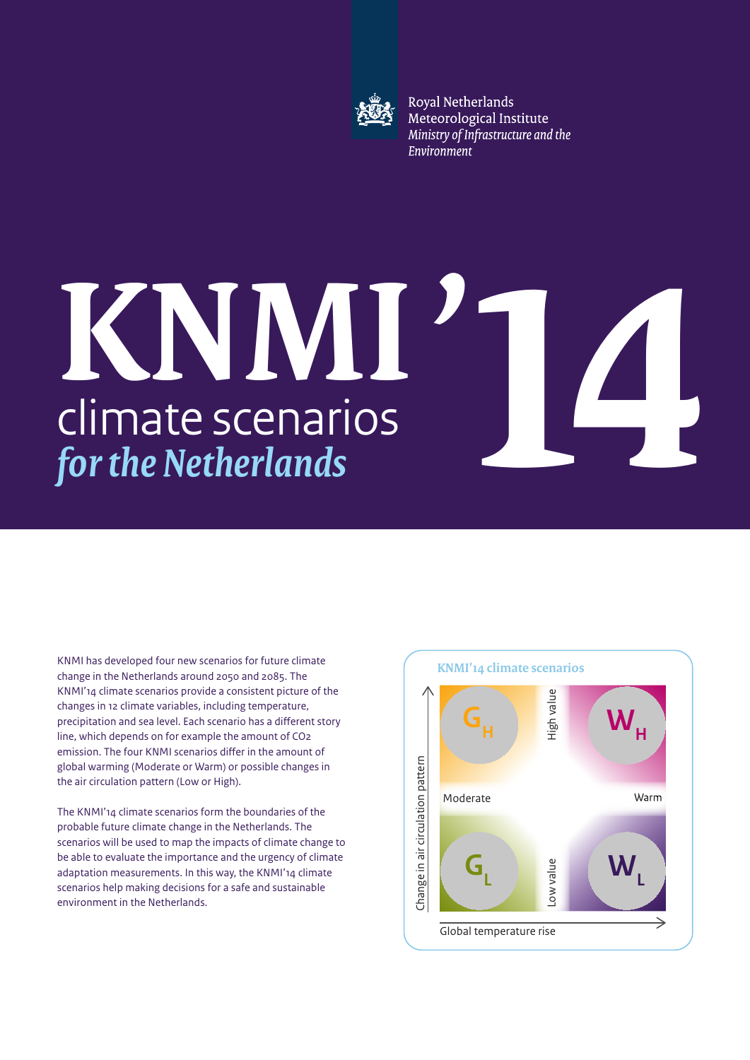

Royal Netherlands Meteorological Institute Ministry of Infrastructure and the Environment

## climate scenarios *for the Netherlands* **KNMI**'

KNMI has developed four new scenarios for future climate change in the Netherlands around 2050 and 2085. The KNMI'14 climate scenarios provide a consistent picture of the changes in 12 climate variables, including temperature, precipitation and sea level. Each scenario has a different story line, which depends on for example the amount of CO2 emission. The four KNMI scenarios differ in the amount of global warming (Moderate or Warm) or possible changes in the air circulation pattern (Low or High).

The KNMI'14 climate scenarios form the boundaries of the probable future climate change in the Netherlands. The scenarios will be used to map the impacts of climate change to be able to evaluate the importance and the urgency of climate adaptation measurements. In this way, the KNMI'14 climate scenarios help making decisions for a safe and sustainable environment in the Netherlands.



**14**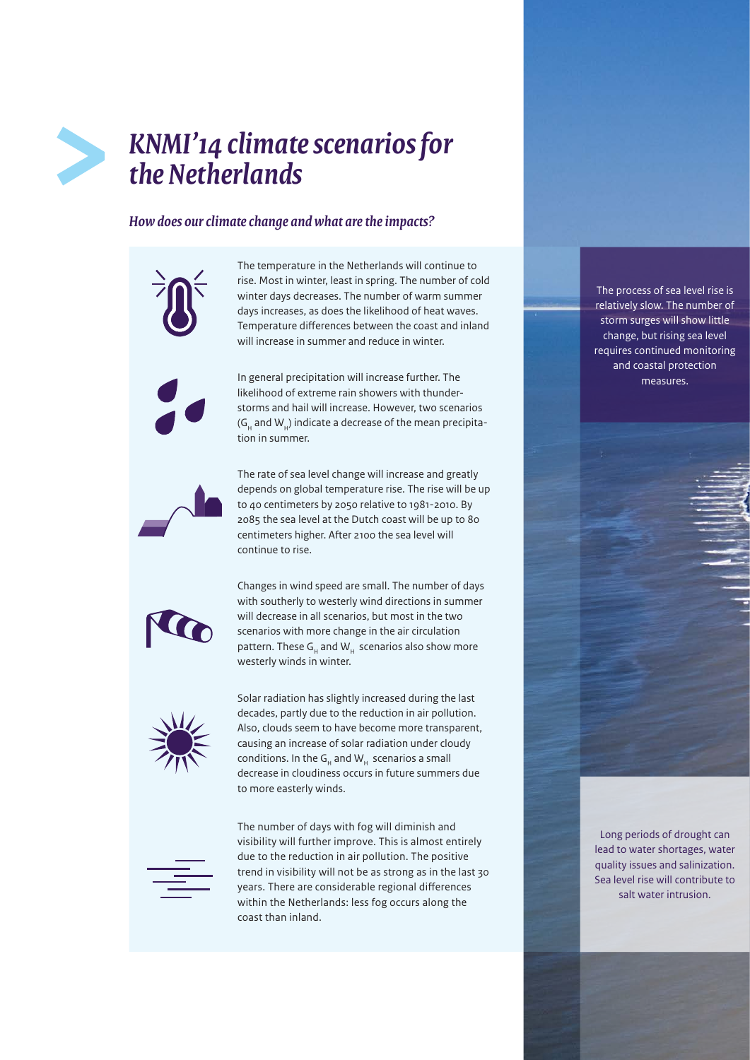## *KNMI'14 climate scenarios for the Netherlands*

## *How does our climate change and what are the impacts?*

The temperature in the Netherlands will continue to rise. Most in winter, least in spring. The number of cold winter days decreases. The number of warm summer days increases, as does the likelihood of heat waves. Temperature differences between the coast and inland will increase in summer and reduce in winter.

In general precipitation will increase further. The likelihood of extreme rain showers with thunderstorms and hail will increase. However, two scenarios  $(G<sub>u</sub>$  and W<sub>u</sub>) indicate a decrease of the mean precipitation in summer.



The rate of sea level change will increase and greatly depends on global temperature rise. The rise will be up to 40 centimeters by 2050 relative to 1981-2010. By 2085 the sea level at the Dutch coast will be up to 80 centimeters higher. After 2100 the sea level will continue to rise.



Changes in wind speed are small. The number of days with southerly to westerly wind directions in summer will decrease in all scenarios, but most in the two scenarios with more change in the air circulation pattern. These  $G_H$  and  $W_H$  scenarios also show more westerly winds in winter.



Solar radiation has slightly increased during the last decades, partly due to the reduction in air pollution. Also, clouds seem to have become more transparent, causing an increase of solar radiation under cloudy conditions. In the  $G_u$  and  $W_u$  scenarios a small decrease in cloudiness occurs in future summers due to more easterly winds.



The number of days with fog will diminish and visibility will further improve. This is almost entirely due to the reduction in air pollution. The positive trend in visibility will not be as strong as in the last 30 years. There are considerable regional differences within the Netherlands: less fog occurs along the coast than inland.

The process of sea level rise is relatively slow. The number of storm surges will show little change, but rising sea level requires continued monitoring and coastal protection measures.

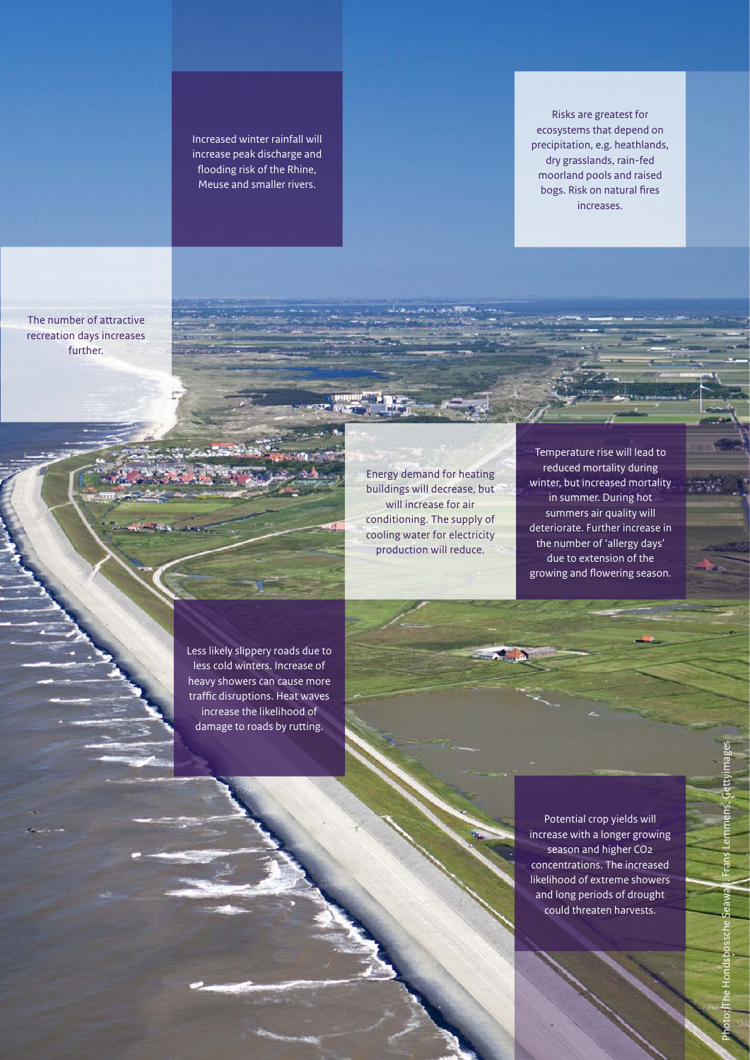Increased winter rainfall will increase peak discharge and flooding risk of the Rhine, Meuse and smaller rivers.

Risks are greatest for ecosystems that depend on precipitation, e.g. heathlands, dry grasslands, rain-fed moorland pools and raised bogs. Risk on natural fires increases.

The number of attractive recreation days increases further.

> Energy demand for heating buildings will decrease, but will increase for air conditioning. The supply of cooling water for electricity production will reduce.

Temperature rise will lead to reduced mortality during winter, but increased mortality in summer. During hot summers air quality will deteriorate. Further increase in the number of 'allergy days' due to extension of the growing and flowering season.

Less likely slippery roads due to less cold winters. Increase of heavy showers can cause more traffic disruptions. Heat waves increase the likelihood of damage to roads by rutting.

> Potential crop yields will increase with a longer growing season and higher CO2 concentrations. The increased likelihood of extreme showers and long periods of drought could threaten harvests.